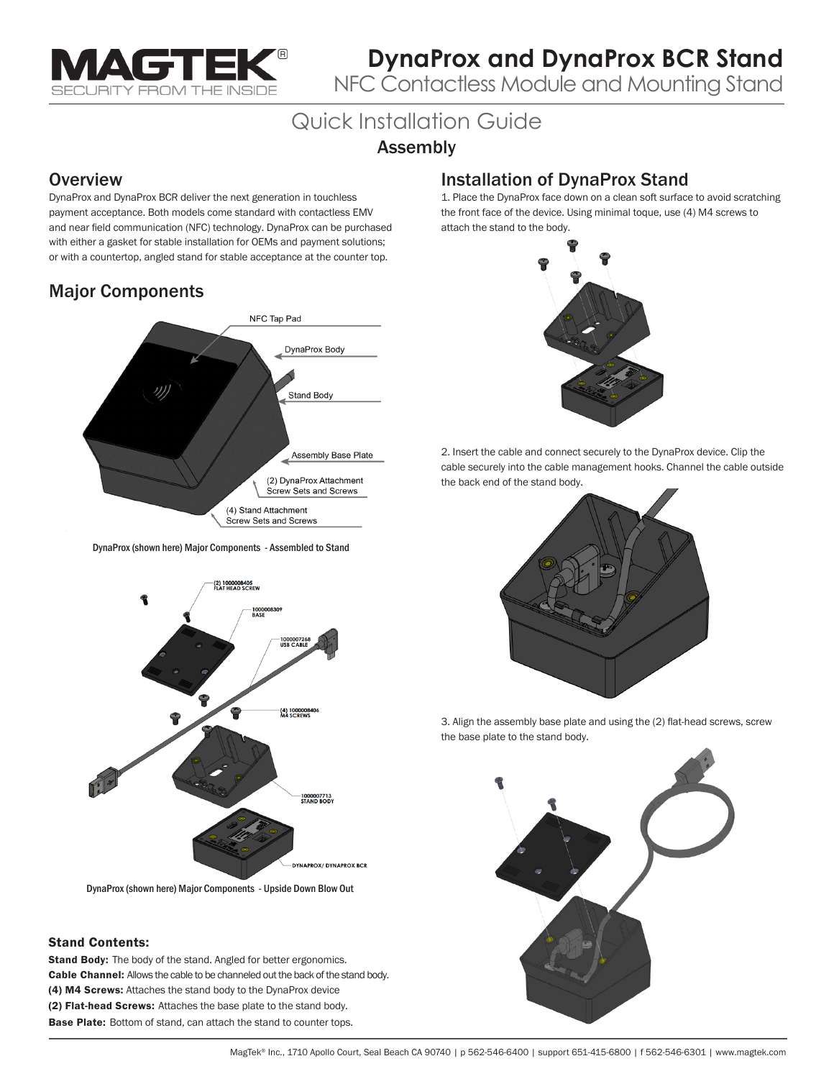

## **DynaProx and DynaProx BCR Stand**

NFC Contactless Module and Mounting Stand

# Quick Installation Guide

#### Assembly

#### **Overview**

DynaProx and DynaProx BCR deliver the next generation in touchless payment acceptance. Both models come standard with contactless EMV and near field communication (NFC) technology. DynaProx can be purchased with either a gasket for stable installation for OEMs and payment solutions; or with a countertop, angled stand for stable acceptance at the counter top.

## Major Components



DynaProx (shown here) Major Components - Assembled to Stand



DynaProx (shown here) Major Components - Upside Down Blow Out

#### Stand Contents:

Stand Body: The body of the stand. Angled for better ergonomics. Cable Channel: Allows the cable to be channeled out the back of the stand body. (4) M4 Screws: Attaches the stand body to the DynaProx device (2) Flat-head Screws: Attaches the base plate to the stand body. Base Plate: Bottom of stand, can attach the stand to counter tops.

#### Installation of DynaProx Stand

1. Place the DynaProx face down on a clean soft surface to avoid scratching the front face of the device. Using minimal toque, use (4) M4 screws to attach the stand to the body.



2. Insert the cable and connect securely to the DynaProx device. Clip the cable securely into the cable management hooks. Channel the cable outside the back end of the stand body.



3. Align the assembly base plate and using the (2) flat-head screws, screw the base plate to the stand body.